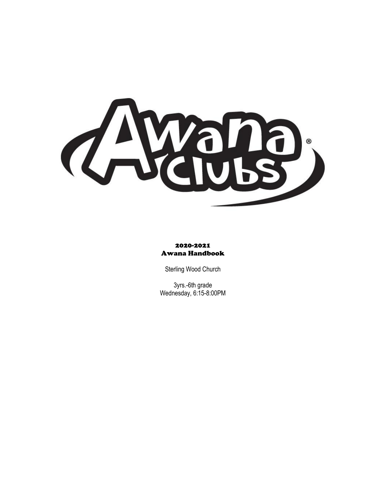

#### 2020-2021 Awana Handbook

Sterling Wood Church

3yrs.-6th grade Wednesday, 6:15-8:00PM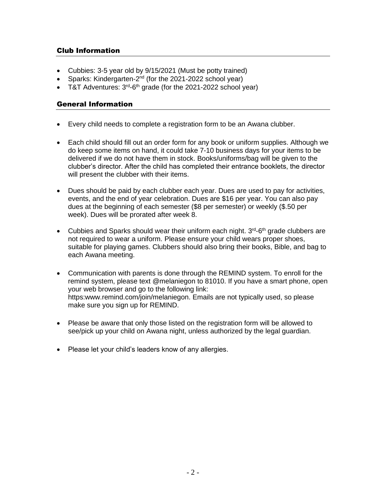# Club Information

- Cubbies: 3-5 year old by 9/15/2021 (Must be potty trained)
- Sparks: Kindergarten-2<sup>nd</sup> (for the 2021-2022 school year)
- T&T Adventures:  $3<sup>rd</sup>$ -6<sup>th</sup> grade (for the 2021-2022 school year)

## General Information

- Every child needs to complete a registration form to be an Awana clubber.
- Each child should fill out an order form for any book or uniform supplies. Although we do keep some items on hand, it could take 7-10 business days for your items to be delivered if we do not have them in stock. Books/uniforms/bag will be given to the clubber's director. After the child has completed their entrance booklets, the director will present the clubber with their items.
- Dues should be paid by each clubber each year. Dues are used to pay for activities, events, and the end of year celebration. Dues are \$16 per year. You can also pay dues at the beginning of each semester (\$8 per semester) or weekly (\$.50 per week). Dues will be prorated after week 8.
- Cubbies and Sparks should wear their uniform each night.  $3<sup>rd</sup>$ -6<sup>th</sup> grade clubbers are not required to wear a uniform. Please ensure your child wears proper shoes, suitable for playing games. Clubbers should also bring their books, Bible, and bag to each Awana meeting.
- Communication with parents is done through the REMIND system. To enroll for the remind system, please text @melaniegon to 81010. If you have a smart phone, open your web browser and go to the following link: https:www.remind.com/join/melaniegon. Emails are not typically used, so please make sure you sign up for REMIND.
- Please be aware that only those listed on the registration form will be allowed to see/pick up your child on Awana night, unless authorized by the legal guardian.
- Please let your child's leaders know of any allergies.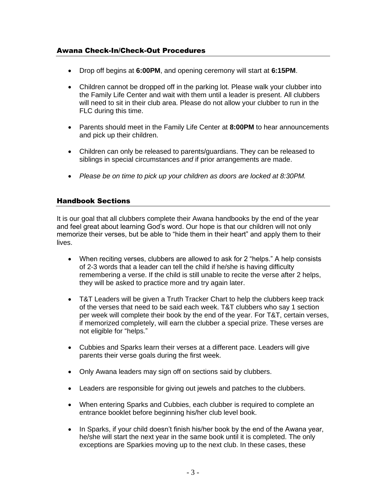# Awana Check-In/Check-Out Procedures

- Drop off begins at **6:00PM**, and opening ceremony will start at **6:15PM**.
- Children cannot be dropped off in the parking lot. Please walk your clubber into the Family Life Center and wait with them until a leader is present. All clubbers will need to sit in their club area. Please do not allow your clubber to run in the FLC during this time.
- Parents should meet in the Family Life Center at **8:00PM** to hear announcements and pick up their children.
- Children can only be released to parents/guardians. They can be released to siblings in special circumstances *and* if prior arrangements are made.
- *Please be on time to pick up your children as doors are locked at 8:30PM.*

### Handbook Sections

It is our goal that all clubbers complete their Awana handbooks by the end of the year and feel great about learning God's word. Our hope is that our children will not only memorize their verses, but be able to "hide them in their heart" and apply them to their lives.

- When reciting verses, clubbers are allowed to ask for 2 "helps." A help consists of 2-3 words that a leader can tell the child if he/she is having difficulty remembering a verse. If the child is still unable to recite the verse after 2 helps, they will be asked to practice more and try again later.
- T&T Leaders will be given a Truth Tracker Chart to help the clubbers keep track of the verses that need to be said each week. T&T clubbers who say 1 section per week will complete their book by the end of the year. For T&T, certain verses, if memorized completely, will earn the clubber a special prize. These verses are not eligible for "helps."
- Cubbies and Sparks learn their verses at a different pace. Leaders will give parents their verse goals during the first week.
- Only Awana leaders may sign off on sections said by clubbers.
- Leaders are responsible for giving out jewels and patches to the clubbers.
- When entering Sparks and Cubbies, each clubber is required to complete an entrance booklet before beginning his/her club level book.
- In Sparks, if your child doesn't finish his/her book by the end of the Awana year, he/she will start the next year in the same book until it is completed. The only exceptions are Sparkies moving up to the next club. In these cases, these